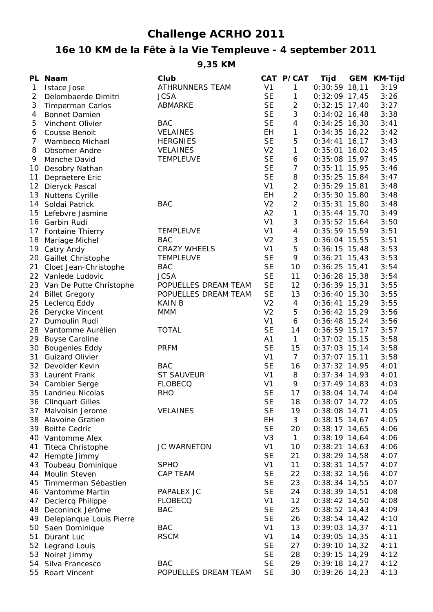## **Challenge ACRHO 2011**

## **16e 10 KM de la Fête à la Vie Templeuve - 4 september 2011**

**9,35 KM**

|              | PL Naam                    | Club                   |                | CAT P/CAT       | Tijd            | <b>GEM</b> | <b>KM-Tijd</b> |
|--------------|----------------------------|------------------------|----------------|-----------------|-----------------|------------|----------------|
| $\mathbf{1}$ | <b>Istace Jose</b>         | <b>ATHRUNNERS TEAM</b> | V <sub>1</sub> | 1               | $0:30:59$ 18,11 |            | 3:19           |
| 2            | Delombaerde Dimitri        | <b>JCSA</b>            | <b>SE</b>      | $\mathbf{1}$    | $0:32:09$ 17,45 |            | 3:26           |
| 3            | <b>Timperman Carlos</b>    | ABMARKE                | <b>SE</b>      | $\overline{c}$  | $0:32:15$ 17,40 |            | 3:27           |
| 4            | <b>Bonnet Damien</b>       |                        | <b>SE</b>      | 3               | $0:34:02$ 16,48 |            | 3:38           |
| 5            | Vinchent Olivier           | <b>BAC</b>             | <b>SE</b>      | $\overline{4}$  | $0:34:25$ 16,30 |            | 3:41           |
| 6            | <b>Cousse Benoit</b>       | <b>VELAINES</b>        | EH             | $\mathbf{1}$    | $0:34:35$ 16,22 |            | 3:42           |
| 7            | Wambecq Michael            | <b>HERGNIES</b>        | <b>SE</b>      | 5               | $0:34:41$ 16,17 |            | 3:43           |
| 8            | <b>Obsomer Andre</b>       | <b>VELAINES</b>        | V <sub>2</sub> | $\mathbf{1}$    | $0:35:01$ 16,02 |            | 3:45           |
| 9            | Manche David               | <b>TEMPLEUVE</b>       | <b>SE</b>      | 6               | $0:35:08$ 15,97 |            | 3:45           |
|              | 10 Desobry Nathan          |                        | <b>SE</b>      | $\overline{7}$  | $0:35:11$ 15,95 |            | 3:46           |
| 11           | Depraetere Eric            |                        | <b>SE</b>      | 8               | $0:35:25$ 15,84 |            | 3:47           |
|              | 12 Dieryck Pascal          |                        | V <sub>1</sub> | $\overline{c}$  | $0:35:29$ 15,81 |            | 3:48           |
|              | 13 Nuttens Cyrille         |                        | EH             | $\overline{2}$  | $0:35:30$ 15,80 |            | 3:48           |
|              | 14 Soldai Patrick          | <b>BAC</b>             | V <sub>2</sub> | $\overline{2}$  | $0:35:31$ 15,80 |            | 3:48           |
|              | 15 Lefebvre Jasmine        |                        | A2             | $\mathbf{1}$    | $0:35:44$ 15,70 |            | 3:49           |
|              | 16 Garbin Rudi             |                        | V <sub>1</sub> | 3               | $0:35:52$ 15,64 |            | 3:50           |
|              | 17 Fontaine Thierry        | <b>TEMPLEUVE</b>       | V <sub>1</sub> | 4               | $0:35:59$ 15,59 |            | 3:51           |
|              | 18 Mariage Michel          | <b>BAC</b>             | V <sub>2</sub> | 3               | $0:36:04$ 15,55 |            | 3:51           |
|              | 19 Catry Andy              | <b>CRAZY WHEELS</b>    | V <sub>1</sub> | 5               | $0:36:15$ 15,48 |            | 3:53           |
|              | 20 Gaillet Christophe      | <b>TEMPLEUVE</b>       | <b>SE</b>      | 9               | $0:36:21$ 15,43 |            | 3:53           |
|              | 21 Cloet Jean-Christophe   | <b>BAC</b>             | <b>SE</b>      | 10              | $0:36:25$ 15,41 |            | 3:54           |
|              | 22 Vanlede Ludovic         | <b>JCSA</b>            | <b>SE</b>      | 11              | $0:36:28$ 15,38 |            | 3:54           |
|              | 23 Van De Putte Christophe | POPUELLES DREAM TEAM   | <b>SE</b>      | 12              | $0:36:39$ 15,31 |            | 3:55           |
|              | 24 Billet Gregory          | POPUELLES DREAM TEAM   | <b>SE</b>      | 13              | $0:36:40$ 15,30 |            | 3:55           |
|              | 25 Leclercq Eddy           | <b>KAIN B</b>          | V <sub>2</sub> | 4               | $0:36:41$ 15,29 |            | 3:55           |
|              | 26 Derycke Vincent         | <b>MMM</b>             | V <sub>2</sub> | 5               | $0:36:42$ 15,29 |            | 3:56           |
|              | 27 Dumoulin Rudi           |                        | V <sub>1</sub> | 6               | $0:36:48$ 15,24 |            | 3:56           |
|              | 28 Vantomme Aurélien       | <b>TOTAL</b>           | <b>SE</b>      | 14              | $0:36:59$ 15,17 |            | 3:57           |
|              | 29 Buyse Caroline          |                        | A1             | $\mathbf{1}$    | $0:37:02$ 15,15 |            | 3:58           |
|              | 30 Bougenies Eddy          | <b>PRFM</b>            | <b>SE</b>      | 15              | $0:37:03$ 15,14 |            | 3:58           |
|              | 31 Guizard Olivier         |                        | V <sub>1</sub> | $7\overline{ }$ | $0:37:07$ 15,11 |            | 3:58           |
|              | 32 Devolder Kevin          | <b>BAC</b>             | <b>SE</b>      | 16              | $0:37:32$ 14,95 |            | 4:01           |
|              | 33 Laurent Frank           | <b>ST SAUVEUR</b>      | V <sub>1</sub> | 8               | $0:37:34$ 14,93 |            | 4:01           |
|              | 34 Cambier Serge           | <b>FLOBECQ</b>         | V <sub>1</sub> | 9               | $0:37:49$ 14,83 |            | 4:03           |
|              | 35 Landrieu Nicolas        | <b>RHO</b>             | <b>SE</b>      | 17              | $0:38:04$ 14,74 |            | 4:04           |
|              | 36 Clinquart Gilles        |                        | <b>SE</b>      | 18              | $0:38:07$ 14,72 |            | 4:05           |
| 37           | Malvoisin Jerome           | <b>VELAINES</b>        | <b>SE</b>      | 19              | $0:38:08$ 14,71 |            | 4:05           |
|              | 38 Alavoine Gratien        |                        | <b>EH</b>      | 3               | $0:38:15$ 14,67 |            | 4:05           |
| 39           | <b>Boitte Cedric</b>       |                        | <b>SE</b>      | 20              | $0:38:17$ 14,65 |            | 4:06           |
|              | 40 Vantomme Alex           |                        | V <sub>3</sub> | $\mathbf{1}$    | $0:38:19$ 14,64 |            | 4:06           |
| 41           | Titeca Christophe          | <b>JC WARNETON</b>     | V <sub>1</sub> | 10              | $0:38:21$ 14,63 |            | 4:06           |
|              | 42 Hempte Jimmy            |                        | <b>SE</b>      | 21              | $0:38:29$ 14,58 |            | 4:07           |
|              | 43 Toubeau Dominique       | <b>SPHO</b>            | V <sub>1</sub> | 11              | $0:38:31$ 14,57 |            | 4:07           |
|              | 44 Moulin Steven           | <b>CAP TEAM</b>        | <b>SE</b>      | 22              | $0:38:32$ 14,56 |            | 4:07           |
| 45           | Timmerman Sébastien        |                        | <b>SE</b>      | 23              | $0:38:34$ 14,55 |            | 4:07           |
|              | 46 Vantomme Martin         | PAPALEX JC             | <b>SE</b>      | 24              | $0:38:39$ 14,51 |            | 4:08           |
|              | 47 Declercq Philippe       | <b>FLOBECQ</b>         | V <sub>1</sub> | 12              | $0:38:42$ 14,50 |            | 4:08           |
|              | 48 Deconinck Jérôme        | <b>BAC</b>             | <b>SE</b>      | 25              | $0:38:52$ 14,43 |            | 4:09           |
| 49           | Deleplanque Louis Pierre   |                        | <b>SE</b>      | 26              | $0:38:54$ 14,42 |            | 4:10           |
| 50           | Saen Dominique             | <b>BAC</b>             | V <sub>1</sub> | 13              | $0:39:03$ 14,37 |            | 4:11           |
| 51           | Durant Luc                 | <b>RSCM</b>            | V <sub>1</sub> | 14              | $0:39:05$ 14,35 |            | 4:11           |
| 52           | Legrand Louis              |                        | <b>SE</b>      | 27              | $0:39:10$ 14,32 |            | 4:11           |
| 53           | Noiret Jimmy               |                        | <b>SE</b>      | 28              | $0:39:15$ 14,29 |            | 4:12           |
| 54           | Silva Francesco            | <b>BAC</b>             | <b>SE</b>      | 29              | $0:39:18$ 14,27 |            | 4:12           |
| 55           | <b>Roart Vincent</b>       | POPUELLES DREAM TEAM   | <b>SE</b>      | 30              | $0:39:26$ 14,23 |            | 4:13           |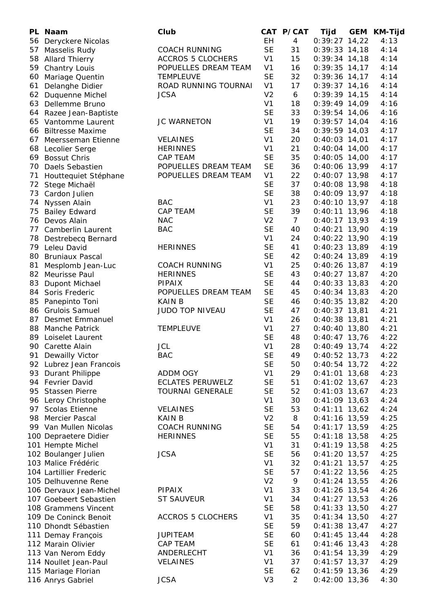|    | PL Naam                 | Club                     |                        | CAT P/CAT      | Tijd                               | <b>GEM</b> | <b>KM-Tijd</b> |
|----|-------------------------|--------------------------|------------------------|----------------|------------------------------------|------------|----------------|
| 56 | Deryckere Nicolas       |                          | EH.                    | $\overline{4}$ | $0:39:27$ 14,22                    |            | 4:13           |
| 57 | Masselis Rudy           | <b>COACH RUNNING</b>     | <b>SE</b>              | 31             | $0:39:33$ 14,18                    |            | 4:14           |
| 58 | <b>Allard Thierry</b>   | <b>ACCROS 5 CLOCHERS</b> | V <sub>1</sub>         | 15             | $0:39:34$ 14,18                    |            | 4:14           |
| 59 | <b>Chantry Louis</b>    | POPUELLES DREAM TEAM     | V <sub>1</sub>         | 16             | $0:39:35$ 14,17                    |            | 4:14           |
| 60 | Mariage Quentin         | <b>TEMPLEUVE</b>         | <b>SE</b>              | 32             | $0:39:36$ 14,17                    |            | 4:14           |
| 61 | Delanghe Didier         | ROAD RUNNING TOURNAI     | V <sub>1</sub>         | 17             | $0:39:37$ 14,16                    |            | 4:14           |
|    | 62 Duquenne Michel      | <b>JCSA</b>              | V <sub>2</sub>         | 6              | $0:39:39$ 14,15                    |            | 4:14           |
|    | 63 Dellemme Bruno       |                          | V <sub>1</sub>         | 18             | $0:39:49$ 14,09                    |            | 4:16           |
|    | 64 Razee Jean-Baptiste  |                          | <b>SE</b>              | 33             | $0:39:54$ 14,06                    |            | 4:16           |
|    | 65 Vantomme Laurent     | <b>JC WARNETON</b>       | V <sub>1</sub>         | 19             | $0:39:57$ 14,04                    |            | 4:16           |
|    | 66 Biltresse Maxime     |                          | <b>SE</b>              | 34             | $0:39:59$ 14,03                    |            | 4:17           |
| 67 | Meersseman Etienne      | <b>VELAINES</b>          | V <sub>1</sub>         | 20             | $0:40:03$ 14,01                    |            | 4:17           |
|    | 68 Lecolier Serge       | <b>HERINNES</b>          | V <sub>1</sub>         | 21             | $0:40:04$ 14,00                    |            | 4:17           |
|    | 69 Bossut Chris         | <b>CAP TEAM</b>          | <b>SE</b>              | 35             | $0:40:05$ 14,00                    |            | 4:17           |
|    | 70 Daels Sebastien      | POPUELLES DREAM TEAM     | <b>SE</b>              | 36             | $0:40:06$ 13,99                    |            | 4:17           |
| 71 | Houttequiet Stéphane    | POPUELLES DREAM TEAM     | V <sub>1</sub>         | 22             | $0:40:07$ 13,98                    |            | 4:17           |
| 72 | Stege Michaël           |                          | <b>SE</b>              | 37             | $0:40:08$ 13,98                    |            | 4:18           |
| 73 | Cardon Julien           |                          | <b>SE</b>              | 38             | $0:40:09$ 13,97                    |            | 4:18           |
| 74 | Nyssen Alain            | <b>BAC</b>               | V <sub>1</sub>         | 23             | $0:40:10$ 13,97                    |            | 4:18           |
| 75 | <b>Bailey Edward</b>    | <b>CAP TEAM</b>          | <b>SE</b>              | 39             | $0:40:11$ 13,96                    |            | 4:18           |
|    | 76 Devos Alain          | <b>NAC</b>               | V <sub>2</sub>         | $\overline{7}$ | $0:40:17$ 13,93                    |            | 4:19           |
|    | 77 Camberlin Laurent    | <b>BAC</b>               | <b>SE</b>              | 40             | $0:40:21$ 13,90                    |            | 4:19           |
|    | 78 Destrebecq Bernard   |                          | V <sub>1</sub>         | 24             | $0:40:22$ 13,90                    |            | 4:19           |
|    | 79 Leleu David          | <b>HERINNES</b>          | <b>SE</b>              | 41             | $0:40:23$ 13,89                    |            | 4:19           |
|    | 80 Bruniaux Pascal      |                          | <b>SE</b>              | 42             | $0:40:24$ 13,89                    |            | 4:19           |
| 81 | Mesplomb Jean-Luc       | <b>COACH RUNNING</b>     | V <sub>1</sub>         | 25             | $0:40:26$ 13,87                    |            | 4:19           |
|    | 82 Meurisse Paul        | <b>HERINNES</b>          | <b>SE</b>              | 43             | $0:40:27$ 13,87                    |            | 4:20           |
|    | 83 Dupont Michael       | <b>PIPAIX</b>            | <b>SE</b>              | 44             | $0:40:33$ 13,83                    |            | 4:20           |
|    | 84 Soris Frederic       | POPUELLES DREAM TEAM     | <b>SE</b>              | 45             | $0:40:34$ 13,83                    |            | 4:20           |
| 85 | Panepinto Toni          | <b>KAIN B</b>            | <b>SE</b>              | 46             | $0:40:35$ 13,82                    |            | 4:20           |
|    | 86 Grulois Samuel       | JUDO TOP NIVEAU          | <b>SE</b>              | 47             | $0:40:37$ 13,81                    |            | 4:21           |
|    | 87 Desmet Emmanuel      |                          | V <sub>1</sub>         | 26             | $0:40:38$ 13,81                    |            | 4:21           |
| 88 | <b>Manche Patrick</b>   | <b>TEMPLEUVE</b>         | V <sub>1</sub>         | 27             | $0:40:40$ 13,80                    |            | 4:21           |
| 89 | Loiselet Laurent        |                          | <b>SE</b>              | 48             | $0:40:47$ 13,76                    |            | 4:22           |
|    | 90 Carette Alain        | <b>JCL</b>               | V <sub>1</sub>         | 28             | $0:40:49$ 13,74                    |            | 4:22           |
|    | 91 Dewailly Victor      | <b>BAC</b>               | SЕ                     | 49             | $0:40:52$ 13,73                    |            | 4:22           |
|    | 92 Lubrez Jean Francois |                          | <b>SE</b>              | 50             | $0:40:54$ 13,72                    |            | 4:22           |
|    | 93 Durant Philippe      | <b>ADDM OGY</b>          | V <sub>1</sub>         | 29             | $0:41:01$ 13,68                    |            | 4:23           |
|    | 94 Fevrier David        | <b>ECLATES PERUWELZ</b>  | <b>SE</b>              | 51             | $0:41:02$ 13,67                    |            | 4:23           |
|    | 95 Stassen Pierre       | <b>TOURNAI GENERALE</b>  | <b>SE</b>              | 52             | $0:41:03$ 13,67                    |            | 4:23           |
|    | 96 Leroy Christophe     |                          | V <sub>1</sub>         | 30             | $0:41:09$ 13,63                    |            | 4:24           |
|    | 97 Scolas Etienne       | <b>VELAINES</b>          | <b>SE</b>              | 53             | $0:41:11$ 13,62                    |            | 4:24           |
|    | 98 Mercier Pascal       | <b>KAIN B</b>            | V <sub>2</sub>         | 8              | $0:41:16$ 13,59                    |            | 4:25           |
|    | 99 Van Mullen Nicolas   | <b>COACH RUNNING</b>     | <b>SE</b>              | 54             | $0:41:17$ 13,59                    |            | 4:25           |
|    | 100 Depraetere Didier   | <b>HERINNES</b>          | <b>SE</b>              | 55             | $0:41:18$ 13,58                    |            | 4:25           |
|    | 101 Hempte Michel       |                          | V <sub>1</sub>         | 31             | $0:41:19$ 13,58                    |            | 4:25           |
|    | 102 Boulanger Julien    | <b>JCSA</b>              | <b>SE</b>              | 56             | $0:41:20$ 13,57                    |            | 4:25           |
|    | 103 Malice Frédéric     |                          | V <sub>1</sub>         | 32             | $0:41:21$ 13,57                    |            | 4:25           |
|    | 104 Lartillier Frederic |                          | <b>SE</b>              | 57             | $0:41:22$ 13,56                    |            | 4:25           |
|    | 105 Delhuvenne Rene     |                          | V <sub>2</sub>         | 9              | $0:41:24$ 13,55                    |            | 4:26           |
|    | 106 Dervaux Jean-Michel | <b>PIPAIX</b>            | V <sub>1</sub>         | 33             | $0:41:26$ 13,54                    |            | 4:26           |
|    | 107 Goebeert Sebastien  | <b>ST SAUVEUR</b>        | V <sub>1</sub>         | 34             | $0:41:27$ 13,53                    |            | 4:26           |
|    | 108 Grammens Vincent    |                          | <b>SE</b>              | 58             | $0:41:33$ 13,50                    |            | 4:27           |
|    | 109 De Coninck Benoit   | <b>ACCROS 5 CLOCHERS</b> | V <sub>1</sub>         | 35             | $0:41:34$ 13,50                    |            | 4:27           |
|    |                         |                          |                        |                |                                    |            |                |
|    | 110 Dhondt Sébastien    | <b>JUPITEAM</b>          | <b>SE</b><br><b>SE</b> | 59             | $0:41:38$ 13,47<br>$0:41:45$ 13,44 |            | 4:27<br>4:28   |
|    | 111 Demay François      |                          | <b>SE</b>              | 60             |                                    |            |                |
|    | 112 Marain Olivier      | CAP TEAM                 |                        | 61             | $0:41:46$ 13,43                    |            | 4:28           |
|    | 113 Van Nerom Eddy      | ANDERLECHT               | V <sub>1</sub>         | 36             | $0:41:54$ 13,39                    |            | 4:29           |
|    | 114 Noullet Jean-Paul   | <b>VELAINES</b>          | V <sub>1</sub>         | 37             | $0:41:57$ 13,37                    |            | 4:29           |
|    | 115 Mariage Florian     |                          | <b>SE</b>              | 62             | $0:41:59$ 13,36                    |            | 4:29           |
|    | 116 Anrys Gabriel       | <b>JCSA</b>              | V <sub>3</sub>         | $\overline{2}$ | $0:42:00$ 13,36                    |            | 4:30           |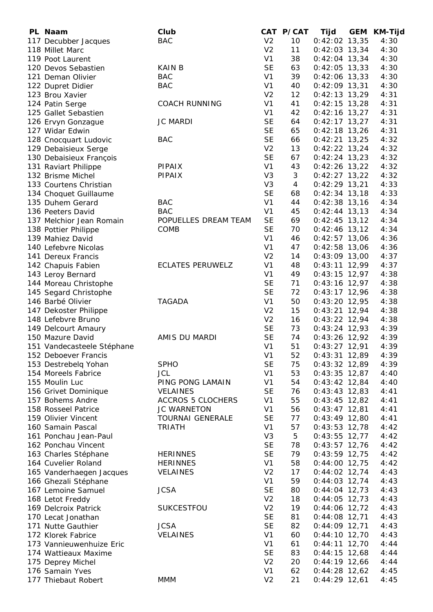| PL Naam                    | Club                     |                | CAT P/CAT | Tijd            | <b>GEM</b> | <b>KM-Tijd</b> |
|----------------------------|--------------------------|----------------|-----------|-----------------|------------|----------------|
| 117 Decubber Jacques       | <b>BAC</b>               | V <sub>2</sub> | 10        | $0:42:02$ 13,35 |            | 4:30           |
| 118 Millet Marc            |                          | V <sub>2</sub> | 11        | $0:42:03$ 13,34 |            | 4:30           |
| 119 Poot Laurent           |                          | V <sub>1</sub> | 38        | $0:42:04$ 13,34 |            | 4:30           |
| 120 Devos Sebastien        | <b>KAIN B</b>            | <b>SE</b>      | 63        | $0:42:05$ 13,33 |            | 4:30           |
| 121 Deman Olivier          | <b>BAC</b>               | V <sub>1</sub> | 39        | $0:42:06$ 13,33 |            | 4:30           |
| 122 Dupret Didier          | <b>BAC</b>               | V <sub>1</sub> | 40        | $0:42:09$ 13,31 |            | 4:30           |
| 123 Brou Xavier            |                          | V <sub>2</sub> | 12        | $0:42:13$ 13,29 |            | 4:31           |
| 124 Patin Serge            | <b>COACH RUNNING</b>     | V <sub>1</sub> | 41        | $0:42:15$ 13,28 |            | 4:31           |
| 125 Gallet Sebastien       |                          | V <sub>1</sub> | 42        | $0:42:16$ 13,27 |            | 4:31           |
| 126 Ervyn Gonzague         | <b>JC MARDI</b>          | <b>SE</b>      | 64        | $0:42:17$ 13,27 |            | 4:31           |
| 127 Widar Edwin            |                          | <b>SE</b>      | 65        | $0:42:18$ 13,26 |            | 4:31           |
| 128 Cnocquart Ludovic      | <b>BAC</b>               | <b>SE</b>      | 66        | $0:42:21$ 13,25 |            | 4:32           |
| 129 Debaisieux Serge       |                          | V <sub>2</sub> | 13        | $0:42:22$ 13,24 |            | 4:32           |
| 130 Debaisieux François    |                          | <b>SE</b>      | 67        | $0:42:24$ 13,23 |            | 4:32           |
| 131 Raviart Philippe       | <b>PIPAIX</b>            | V <sub>1</sub> | 43        | $0:42:26$ 13,22 |            | 4:32           |
| 132 Brisme Michel          | <b>PIPAIX</b>            | V <sub>3</sub> | 3         | $0:42:27$ 13,22 |            | 4:32           |
| 133 Courtens Christian     |                          | V <sub>3</sub> | 4         | $0:42:29$ 13,21 |            | 4:33           |
| 134 Choquet Guillaume      |                          | <b>SE</b>      | 68        | $0:42:34$ 13,18 |            | 4:33           |
| 135 Duhem Gerard           | <b>BAC</b>               | V <sub>1</sub> | 44        | $0:42:38$ 13,16 |            | 4:34           |
| 136 Peeters David          | <b>BAC</b>               | V <sub>1</sub> | 45        | $0:42:44$ 13,13 |            | 4:34           |
| 137 Melchior Jean Romain   | POPUELLES DREAM TEAM     | <b>SE</b>      | 69        | $0:42:45$ 13,12 |            | 4:34           |
| 138 Pottier Philippe       | COMB                     | <b>SE</b>      | 70        | $0:42:46$ 13,12 |            | 4:34           |
| 139 Mahiez David           |                          | V <sub>1</sub> | 46        | $0:42:57$ 13,06 |            | 4:36           |
| 140 Lefebvre Nicolas       |                          | V <sub>1</sub> | 47        | $0:42:58$ 13,06 |            | 4:36           |
| 141 Dereux Francis         |                          | V <sub>2</sub> | 14        | $0:43:09$ 13,00 |            | 4:37           |
| 142 Chapuis Fabien         | <b>ECLATES PERUWELZ</b>  | V <sub>1</sub> | 48        | $0:43:11$ 12,99 |            | 4:37           |
| 143 Leroy Bernard          |                          | V <sub>1</sub> | 49        | $0:43:15$ 12,97 |            | 4:38           |
| 144 Moreau Christophe      |                          | <b>SE</b>      | 71        | $0:43:16$ 12,97 |            | 4:38           |
| 145 Segard Christophe      |                          | <b>SE</b>      | 72        | $0:43:17$ 12,96 |            | 4:38           |
| 146 Barbé Olivier          | <b>TAGADA</b>            | V <sub>1</sub> | 50        | $0:43:20$ 12,95 |            | 4:38           |
| 147 Dekoster Philippe      |                          | V <sub>2</sub> | 15        | $0:43:21$ 12,94 |            | 4:38           |
| 148 Lefebvre Bruno         |                          | V <sub>2</sub> | 16        | $0:43:22$ 12,94 |            | 4:38           |
| 149 Delcourt Amaury        |                          | <b>SE</b>      | 73        | $0:43:24$ 12,93 |            | 4:39           |
| 150 Mazure David           | AMIS DU MARDI            | <b>SE</b>      | 74        | $0:43:26$ 12,92 |            | 4:39           |
| 151 Vandecasteele Stéphane |                          | V <sub>1</sub> | 51        | $0:43:27$ 12,91 |            | 4:39           |
| 152 Deboever Francis       |                          | V1             | 52        | $0:43:31$ 12,89 |            | 4:39           |
| 153 Destrebelg Yohan       | <b>SPHO</b>              | <b>SE</b>      | 75        | $0:43:32$ 12,89 |            | 4:39           |
| 154 Moreels Fabrice        | <b>JCL</b>               | V <sub>1</sub> | 53        | $0:43:35$ 12,87 |            | 4:40           |
| 155 Moulin Luc             | PING PONG LAMAIN         | V <sub>1</sub> | 54        | $0:43:42$ 12,84 |            | 4:40           |
| 156 Grivet Dominique       | <b>VELAINES</b>          | <b>SE</b>      | 76        | $0:43:43$ 12,83 |            | 4:41           |
| 157 Bohems Andre           | <b>ACCROS 5 CLOCHERS</b> | V <sub>1</sub> | 55        | $0:43:45$ 12,82 |            | 4:41           |
| 158 Rosseel Patrice        | <b>JC WARNETON</b>       | V <sub>1</sub> | 56        | $0:43:47$ 12,81 |            | 4:41           |
| 159 Olivier Vincent        | <b>TOURNAI GENERALE</b>  | <b>SE</b>      | 77        | $0:43:49$ 12,80 |            | 4:41           |
| 160 Samain Pascal          | <b>TRIATH</b>            | V <sub>1</sub> | 57        | $0:43:53$ 12,78 |            | 4:42           |
| 161 Ponchau Jean-Paul      |                          | V <sub>3</sub> | 5         | $0:43:55$ 12,77 |            | 4:42           |
| 162 Ponchau Vincent        |                          | <b>SE</b>      | 78        | $0:43:57$ 12,76 |            | 4:42           |
| 163 Charles Stéphane       | <b>HERINNES</b>          | <b>SE</b>      | 79        | $0:43:59$ 12,75 |            | 4:42           |
| 164 Cuvelier Roland        | <b>HERINNES</b>          | V <sub>1</sub> | 58        | $0:44:00$ 12,75 |            | 4:42           |
| 165 Vanderhaegen Jacques   | <b>VELAINES</b>          | V <sub>2</sub> | 17        | $0:44:02$ 12,74 |            | 4:43           |
| 166 Ghezali Stéphane       |                          | V <sub>1</sub> | 59        | $0:44:03$ 12,74 |            | 4:43           |
| 167 Lemoine Samuel         | <b>JCSA</b>              | <b>SE</b>      | 80        | $0:44:04$ 12,73 |            | 4:43           |
| 168 Letot Freddy           |                          | V <sub>2</sub> | 18        | $0:44:05$ 12,73 |            | 4:43           |
| 169 Delcroix Patrick       | SUKCESTFOU               | V <sub>2</sub> | 19        | $0:44:06$ 12,72 |            | 4:43           |
| 170 Lecat Jonathan         |                          | <b>SE</b>      | 81        | $0:44:08$ 12,71 |            | 4:43           |
| 171 Nutte Gauthier         | <b>JCSA</b>              | <b>SE</b>      | 82        | $0:44:09$ 12,71 |            | 4:43           |
| 172 Klorek Fabrice         | <b>VELAINES</b>          | V <sub>1</sub> | 60        | $0:44:10$ 12,70 |            | 4:43           |
| 173 Vannieuwenhuize Eric   |                          | V <sub>1</sub> | 61        | $0:44:11$ 12,70 |            | 4:44           |
| 174 Wattieaux Maxime       |                          | <b>SE</b>      | 83        | $0:44:15$ 12,68 |            | 4:44           |
| 175 Deprey Michel          |                          | V <sub>2</sub> | 20        | $0:44:19$ 12,66 |            | 4:44           |
| 176 Samain Yves            |                          | V <sub>1</sub> | 62        | $0:44:28$ 12,62 |            | 4:45           |
| 177 Thiebaut Robert        | <b>MMM</b>               | V <sub>2</sub> | 21        | $0:44:29$ 12,61 |            | 4:45           |
|                            |                          |                |           |                 |            |                |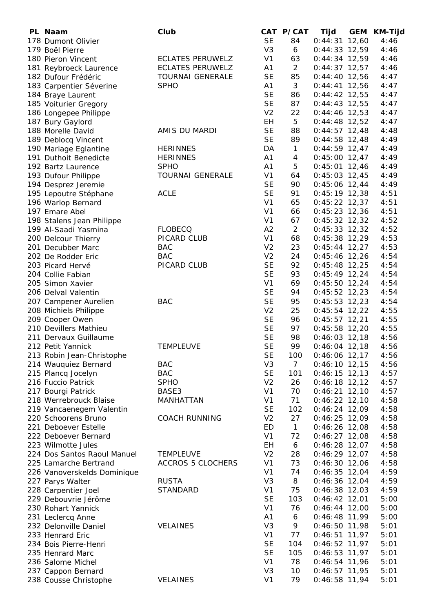| PL Naam                     | Club                     |                | CAT P/CAT      | Tijd            | <b>GEM</b> | KM-Tijd |
|-----------------------------|--------------------------|----------------|----------------|-----------------|------------|---------|
| 178 Dumont Olivier          |                          | <b>SE</b>      | 84             | $0:44:31$ 12,60 |            | 4:46    |
| 179 Boël Pierre             |                          | V <sub>3</sub> | 6              | $0:44:33$ 12,59 |            | 4:46    |
| 180 Pieron Vincent          | <b>ECLATES PERUWELZ</b>  | V <sub>1</sub> | 63             | $0:44:34$ 12,59 |            | 4:46    |
| 181 Reybroeck Laurence      | <b>ECLATES PERUWELZ</b>  | A <sub>1</sub> | $\overline{2}$ | $0:44:37$ 12,57 |            | 4:46    |
| 182 Dufour Frédéric         | <b>TOURNAI GENERALE</b>  | <b>SE</b>      | 85             | $0:44:40$ 12,56 |            | 4:47    |
| 183 Carpentier Séverine     | <b>SPHO</b>              | A <sub>1</sub> | 3              | $0:44:41$ 12,56 |            | 4:47    |
| 184 Braye Laurent           |                          | <b>SE</b>      | 86             | $0:44:42$ 12,55 |            | 4:47    |
| 185 Voiturier Gregory       |                          | <b>SE</b>      | 87             | $0:44:43$ 12,55 |            | 4:47    |
| 186 Longepee Philippe       |                          | V <sub>2</sub> | 22             | $0:44:46$ 12,53 |            | 4:47    |
| 187 Bury Gaylord            |                          | EH             | 5              | $0:44:48$ 12,52 |            | 4:47    |
| 188 Morelle David           | AMIS DU MARDI            | <b>SE</b>      | 88             | $0:44:57$ 12,48 |            | 4:48    |
| 189 Deblocq Vincent         |                          | <b>SE</b>      | 89             | $0:44:58$ 12,48 |            | 4:49    |
| 190 Mariage Eglantine       | <b>HERINNES</b>          | DA             | $\mathbf{1}$   | $0:44:59$ 12,47 |            | 4:49    |
| 191 Duthoit Benedicte       | <b>HERINNES</b>          | A <sub>1</sub> | 4              | $0:45:00$ 12,47 |            | 4:49    |
| 192 Bartz Laurence          | <b>SPHO</b>              | A <sub>1</sub> | 5              | $0:45:01$ 12,46 |            | 4:49    |
| 193 Dufour Philippe         | <b>TOURNAI GENERALE</b>  | V <sub>1</sub> | 64             | $0:45:03$ 12,45 |            | 4:49    |
| 194 Desprez Jeremie         |                          | <b>SE</b>      | 90             | $0:45:06$ 12,44 |            | 4:49    |
| 195 Lepoutre Stéphane       | <b>ACLE</b>              | <b>SE</b>      | 91             | $0:45:19$ 12,38 |            | 4:51    |
| 196 Warlop Bernard          |                          | V <sub>1</sub> | 65             | $0:45:22$ 12,37 |            | 4:51    |
| 197 Emare Abel              |                          | V <sub>1</sub> | 66             | $0:45:23$ 12,36 |            | 4:51    |
| 198 Stalens Jean Philippe   |                          | V <sub>1</sub> | 67             | $0:45:32$ 12,32 |            | 4:52    |
| 199 Al-Saadi Yasmina        | <b>FLOBECQ</b>           | A2             | $\overline{2}$ | $0:45:33$ 12,32 |            | 4:52    |
| 200 Delcour Thierry         | PICARD CLUB              | V <sub>1</sub> | 68             | $0:45:38$ 12,29 |            | 4:53    |
| 201 Decubber Marc           | <b>BAC</b>               | V <sub>2</sub> | 23             | $0:45:44$ 12,27 |            | 4:53    |
| 202 De Rodder Eric          | <b>BAC</b>               | V <sub>2</sub> | 24             | $0:45:46$ 12,26 |            | 4:54    |
| 203 Picard Hervé            | PICARD CLUB              | <b>SE</b>      | 92             | $0:45:48$ 12,25 |            | 4:54    |
| 204 Collie Fabian           |                          | <b>SE</b>      | 93             | $0:45:49$ 12,24 |            | 4:54    |
| 205 Simon Xavier            |                          | V <sub>1</sub> | 69             | $0:45:50$ 12,24 |            | 4:54    |
| 206 Delval Valentin         |                          | <b>SE</b>      | 94             | $0:45:52$ 12,23 |            | 4:54    |
| 207 Campener Aurelien       | <b>BAC</b>               | <b>SE</b>      | 95             | $0:45:53$ 12,23 |            | 4:54    |
| 208 Michiels Philippe       |                          | V <sub>2</sub> | 25             | $0:45:54$ 12,22 |            | 4:55    |
| 209 Cooper Owen             |                          | <b>SE</b>      | 96             | $0:45:57$ 12,21 |            | 4:55    |
| 210 Devillers Mathieu       |                          | <b>SE</b>      | 97             | $0:45:58$ 12,20 |            | 4:55    |
| 211 Dervaux Guillaume       |                          | <b>SE</b>      | 98             | $0:46:03$ 12,18 |            | 4:56    |
| 212 Petit Yannick           | <b>TEMPLEUVE</b>         | <b>SE</b>      | 99             | $0:46:04$ 12,18 |            | 4:56    |
| 213 Robin Jean-Christophe   |                          | <b>SE</b>      | 100            | $0:46:06$ 12,17 |            | 4:56    |
| 214 Wauquiez Bernard        | <b>BAC</b>               | V <sub>3</sub> | $\overline{7}$ | $0:46:10$ 12,15 |            | 4:56    |
| 215 Plancq Jocelyn          | <b>BAC</b>               | <b>SE</b>      | 101            | $0:46:15$ 12,13 |            | 4:57    |
| 216 Fuccio Patrick          | <b>SPHO</b>              | V <sub>2</sub> | 26             | $0:46:18$ 12,12 |            | 4:57    |
| 217 Bourgi Patrick          | BASE3                    | V <sub>1</sub> | 70             | $0:46:21$ 12,10 |            | 4:57    |
| 218 Werrebrouck Blaise      | MANHATTAN                | V <sub>1</sub> | 71             | $0:46:22$ 12,10 |            | 4:58    |
| 219 Vancaenegem Valentin    |                          | <b>SE</b>      | 102            | $0:46:24$ 12,09 |            | 4:58    |
| 220 Schoorens Bruno         | <b>COACH RUNNING</b>     | V <sub>2</sub> | 27             | $0:46:25$ 12,09 |            | 4:58    |
| 221 Deboever Estelle        |                          | ED             | $\mathbf{1}$   | $0:46:26$ 12,08 |            | 4:58    |
| 222 Deboever Bernard        |                          | V <sub>1</sub> | 72             | $0:46:27$ 12,08 |            | 4:58    |
| 223 Wilmotte Jules          |                          | ΕH             | 6              | $0:46:28$ 12,07 |            | 4:58    |
| 224 Dos Santos Raoul Manuel | <b>TEMPLEUVE</b>         | V <sub>2</sub> | 28             | $0:46:29$ 12,07 |            | 4:58    |
| 225 Lamarche Bertrand       | <b>ACCROS 5 CLOCHERS</b> | V <sub>1</sub> | 73             | $0:46:30$ 12,06 |            | 4:58    |
| 226 Vanoverskelds Dominique |                          | V <sub>1</sub> | 74             | $0:46:35$ 12,04 |            | 4:59    |
| 227 Parys Walter            | <b>RUSTA</b>             | V <sub>3</sub> | 8              | $0:46:36$ 12,04 |            | 4:59    |
| 228 Carpentier Joel         | <b>STANDARD</b>          | V <sub>1</sub> | 75             | $0:46:38$ 12,03 |            | 4:59    |
| 229 Debouvrie Jérôme        |                          | <b>SE</b>      | 103            | $0:46:42$ 12,01 |            | 5:00    |
| 230 Rohart Yannick          |                          | V <sub>1</sub> | 76             | $0:46:44$ 12,00 |            | 5:00    |
| 231 Leclercq Anne           |                          | A <sub>1</sub> | 6              | $0:46:48$ 11,99 |            | 5:00    |
| 232 Delonville Daniel       | <b>VELAINES</b>          | V <sub>3</sub> | 9              | $0:46:50$ 11,98 |            | 5:01    |
| 233 Henrard Eric            |                          | V <sub>1</sub> | 77             | $0:46:51$ 11,97 |            | 5:01    |
| 234 Bois Pierre-Henri       |                          | <b>SE</b>      | 104            | $0:46:52$ 11,97 |            | 5:01    |
| 235 Henrard Marc            |                          | <b>SE</b>      | 105            | $0:46:53$ 11,97 |            | 5:01    |
| 236 Salome Michel           |                          | V <sub>1</sub> | 78             | $0:46:54$ 11,96 |            | 5:01    |
| 237 Cappon Bernard          |                          | V <sub>3</sub> | 10             | $0:46:57$ 11,95 |            | 5:01    |
| 238 Cousse Christophe       | <b>VELAINES</b>          | V <sub>1</sub> | 79             | $0:46:58$ 11,94 |            | 5:01    |
|                             |                          |                |                |                 |            |         |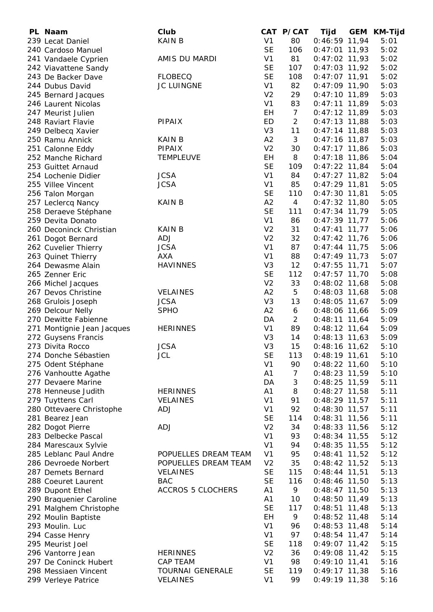| PL Naam                    | Club                     |                | CAT P/CAT      | Tijd            | <b>GEM</b> | <b>KM-Tijd</b> |
|----------------------------|--------------------------|----------------|----------------|-----------------|------------|----------------|
| 239 Lecat Daniel           | <b>KAIN B</b>            | V <sub>1</sub> | 80             | $0:46:59$ 11,94 |            | 5:01           |
| 240 Cardoso Manuel         |                          | <b>SE</b>      | 106            | $0:47:01$ 11,93 |            | 5:02           |
| 241 Vandaele Cyprien       | AMIS DU MARDI            | V <sub>1</sub> | 81             | $0:47:02$ 11,93 |            | 5:02           |
| 242 Viavattene Sandy       |                          | <b>SE</b>      | 107            | $0:47:03$ 11,92 |            | 5:02           |
| 243 De Backer Dave         | <b>FLOBECQ</b>           | <b>SE</b>      | 108            | $0:47:07$ 11,91 |            | 5:02           |
| 244 Dubus David            | JC LUINGNE               | V <sub>1</sub> | 82             | $0:47:09$ 11,90 |            | 5:03           |
| 245 Bernard Jacques        |                          | V <sub>2</sub> | 29             | $0:47:10$ 11,89 |            | 5:03           |
| 246 Laurent Nicolas        |                          | V <sub>1</sub> | 83             | $0:47:11$ 11,89 |            | 5:03           |
| 247 Meurist Julien         |                          | EH             | $\overline{7}$ | $0:47:12$ 11,89 |            | 5:03           |
| 248 Raviart Flavie         | <b>PIPAIX</b>            | <b>ED</b>      | $\overline{2}$ | $0:47:13$ 11,88 |            | 5:03           |
| 249 Delbecq Xavier         |                          | V <sub>3</sub> | 11             | $0:47:14$ 11,88 |            | 5:03           |
| 250 Ramu Annick            | <b>KAIN B</b>            | A2             | 3              | $0:47:16$ 11,87 |            | 5:03           |
| 251 Calonne Eddy           | <b>PIPAIX</b>            | V <sub>2</sub> | 30             | $0:47:17$ 11,86 |            | 5:03           |
| 252 Manche Richard         | <b>TEMPLEUVE</b>         | EH             | 8              | $0:47:18$ 11,86 |            | 5:04           |
| 253 Guittet Arnaud         |                          | <b>SE</b>      | 109            | $0:47:22$ 11,84 |            | 5:04           |
| 254 Lochenie Didier        | <b>JCSA</b>              | V <sub>1</sub> | 84             | $0:47:27$ 11,82 |            | 5:04           |
| 255 Villee Vincent         | <b>JCSA</b>              | V <sub>1</sub> | 85             | $0:47:29$ 11,81 |            | 5:05           |
| 256 Talon Morgan           |                          | <b>SE</b>      | 110            | $0:47:30$ 11,81 |            | 5:05           |
| 257 Leclercq Nancy         | <b>KAIN B</b>            | A2             | $\overline{4}$ | $0:47:32$ 11,80 |            | 5:05           |
| 258 Deraeve Stéphane       |                          | <b>SE</b>      | 111            | $0:47:34$ 11,79 |            | 5:05           |
| 259 Devita Donato          |                          | V <sub>1</sub> | 86             | $0:47:39$ 11,77 |            | 5:06           |
| 260 Deconinck Christian    | <b>KAIN B</b>            | V <sub>2</sub> | 31             |                 |            | 5:06           |
|                            |                          |                |                | $0:47:41$ 11,77 |            |                |
| 261 Dogot Bernard          | ADJ                      | V <sub>2</sub> | 32             | $0:47:42$ 11,76 |            | 5:06           |
| 262 Cuvelier Thierry       | <b>JCSA</b>              | V <sub>1</sub> | 87             | $0:47:44$ 11,75 |            | 5:06           |
| 263 Quinet Thierry         | <b>AXA</b>               | V <sub>1</sub> | 88             | $0:47:49$ 11,73 |            | 5:07           |
| 264 Dewasme Alain          | <b>HAVINNES</b>          | V <sub>3</sub> | 12             | $0:47:55$ 11,71 |            | 5:07           |
| 265 Zenner Eric            |                          | <b>SE</b>      | 112            | $0:47:57$ 11,70 |            | 5:08           |
| 266 Michel Jacques         |                          | V <sub>2</sub> | 33             | $0:48:02$ 11,68 |            | 5:08           |
| 267 Devos Christine        | <b>VELAINES</b>          | A2             | 5              | $0:48:03$ 11,68 |            | 5:08           |
| 268 Grulois Joseph         | <b>JCSA</b>              | V <sub>3</sub> | 13             | $0:48:05$ 11,67 |            | 5:09           |
| 269 Delcour Nelly          | <b>SPHO</b>              | A2             | 6              | 0:48:06 11,66   |            | 5:09           |
| 270 Dewitte Fabienne       |                          | DA             | $\overline{2}$ | $0:48:11$ 11,64 |            | 5:09           |
| 271 Montignie Jean Jacques | <b>HERINNES</b>          | V <sub>1</sub> | 89             | $0:48:12$ 11,64 |            | 5:09           |
| 272 Guysens Francis        |                          | V <sub>3</sub> | 14             | $0:48:13$ 11,63 |            | 5:09           |
| 273 Divita Rocco           | <b>JCSA</b>              | V <sub>3</sub> | 15             | $0:48:16$ 11,62 |            | 5:10           |
| 274 Donche Sébastien       | JCL                      | SЕ             | 113            | $0:48:19$ 11,61 |            | 5:10           |
| 275 Odent Stéphane         |                          | V <sub>1</sub> | 90             | $0:48:22$ 11,60 |            | 5:10           |
| 276 Vanhoutte Agathe       |                          | A1             | 7              | $0:48:23$ 11,59 |            | 5:10           |
| 277 Devaere Marine         |                          | DA             | 3              | $0:48:25$ 11,59 |            | 5:11           |
| 278 Henneuse Judith        | <b>HERINNES</b>          | A1             | 8              | $0:48:27$ 11,58 |            | 5:11           |
| 279 Tuyttens Carl          | <b>VELAINES</b>          | V <sub>1</sub> | 91             | $0:48:29$ 11,57 |            | 5:11           |
| 280 Ottevaere Christophe   | ADJ                      | V <sub>1</sub> | 92             | $0:48:30$ 11,57 |            | 5:11           |
| 281 Bearez Jean            |                          | <b>SE</b>      | 114            | $0:48:31$ 11,56 |            | 5:11           |
| 282 Dogot Pierre           | <b>ADJ</b>               | V <sub>2</sub> | 34             | $0:48:33$ 11,56 |            | 5:12           |
| 283 Delbecke Pascal        |                          | V <sub>1</sub> | 93             | $0:48:34$ 11,55 |            | 5:12           |
| 284 Marescaux Sylvie       |                          | V <sub>1</sub> | 94             | $0:48:35$ 11,55 |            | 5:12           |
| 285 Leblanc Paul Andre     | POPUELLES DREAM TEAM     | V <sub>1</sub> | 95             | $0:48:41$ 11,52 |            | 5:12           |
| 286 Devroede Norbert       | POPUELLES DREAM TEAM     | V <sub>2</sub> | 35             | $0:48:42$ 11,52 |            | 5:13           |
| 287 Demets Bernard         | <b>VELAINES</b>          | <b>SE</b>      | 115            | $0:48:44$ 11,51 |            | 5:13           |
| 288 Coeuret Laurent        | <b>BAC</b>               | <b>SE</b>      | 116            | $0:48:46$ 11,50 |            | 5:13           |
| 289 Dupont Ethel           | <b>ACCROS 5 CLOCHERS</b> | A1             | 9              | $0:48:47$ 11,50 |            | 5:13           |
| 290 Braquenier Caroline    |                          | A1             | 10             | $0:48:50$ 11,49 |            | 5:13           |
| 291 Malghem Christophe     |                          | <b>SE</b>      | 117            | $0:48:51$ 11,48 |            | 5:13           |
| 292 Moulin Baptiste        |                          | EH             | 9              | $0:48:52$ 11,48 |            | 5:14           |
| 293 Moulin. Luc            |                          | V <sub>1</sub> | 96             | $0:48:53$ 11,48 |            | 5:14           |
| 294 Casse Henry            |                          | V <sub>1</sub> | 97             | $0:48:54$ 11,47 |            | 5:14           |
| 295 Meurist Joel           |                          | <b>SE</b>      | 118            | $0:49:07$ 11,42 |            | 5:15           |
| 296 Vantorre Jean          | <b>HERINNES</b>          | V <sub>2</sub> | 36             | $0:49:08$ 11,42 |            | 5:15           |
| 297 De Coninck Hubert      | CAP TEAM                 | V <sub>1</sub> | 98             | $0:49:10$ 11,41 |            | 5:16           |
|                            | <b>TOURNAI GENERALE</b>  | <b>SE</b>      | 119            |                 |            |                |
| 298 Messiaen Vincent       |                          |                |                | $0:49:17$ 11,38 |            | 5:16           |
| 299 Verleye Patrice        | <b>VELAINES</b>          | V <sub>1</sub> | 99             | $0:49:19$ 11,38 |            | 5:16           |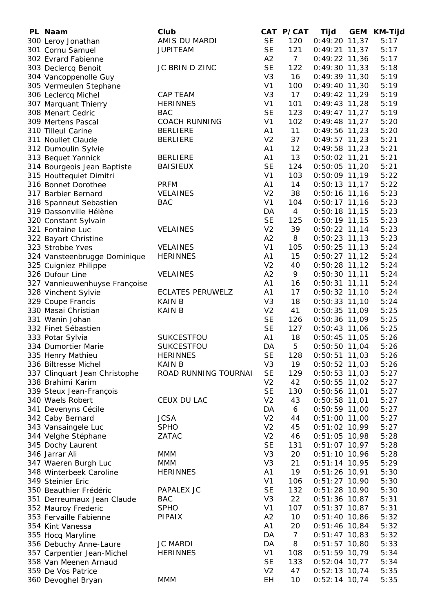| PL Naam                       | Club                    |                | CAT P/CAT      | Tijd            | <b>GEM</b> | KM-Tijd |
|-------------------------------|-------------------------|----------------|----------------|-----------------|------------|---------|
| 300 Leroy Jonathan            | AMIS DU MARDI           | <b>SE</b>      | 120            | $0:49:20$ 11,37 |            | 5:17    |
| 301 Cornu Samuel              | <b>JUPITEAM</b>         | <b>SE</b>      | 121            | $0:49:21$ 11,37 |            | 5:17    |
| 302 Evrard Fabienne           |                         | A2             | $7^{\circ}$    | $0:49:22$ 11,36 |            | 5:17    |
| 303 Declercq Benoit           | JC BRIN D ZINC          | <b>SE</b>      | 122            | $0:49:30$ 11,33 |            | 5:18    |
| 304 Vancoppenolle Guy         |                         | V <sub>3</sub> | 16             | $0:49:39$ 11,30 |            | 5:19    |
| 305 Vermeulen Stephane        |                         | V <sub>1</sub> | 100            | $0:49:40$ 11,30 |            | 5:19    |
| 306 Leclercq Michel           | <b>CAP TEAM</b>         | V <sub>3</sub> | 17             | $0:49:42$ 11,29 |            | 5:19    |
| 307 Marquant Thierry          | <b>HERINNES</b>         | V <sub>1</sub> | 101            | $0:49:43$ 11,28 |            | 5:19    |
| 308 Menart Cedric             | <b>BAC</b>              | <b>SE</b>      | 123            | $0:49:47$ 11,27 |            | 5:19    |
| 309 Mertens Pascal            | <b>COACH RUNNING</b>    | V <sub>1</sub> | 102            | $0:49:48$ 11,27 |            | 5:20    |
| 310 Tilleul Carine            | <b>BERLIERE</b>         | A <sub>1</sub> | 11             | $0:49:56$ 11,23 |            | 5:20    |
| 311 Noullet Claude            | <b>BERLIERE</b>         | V <sub>2</sub> | 37             | $0:49:57$ 11,23 |            | 5:21    |
| 312 Dumoulin Sylvie           |                         | A1             | 12             | $0:49:58$ 11,23 |            | 5:21    |
| 313 Bequet Yannick            | <b>BERLIERE</b>         | A1             | 13             | $0:50:02$ 11,21 |            | 5:21    |
| 314 Bourgeois Jean Baptiste   | <b>BAISIEUX</b>         | <b>SE</b>      | 124            | $0:50:05$ 11,20 |            | 5:21    |
| 315 Houttequiet Dimitri       |                         | V <sub>1</sub> | 103            | $0:50:09$ 11,19 |            | 5:22    |
| 316 Bonnet Dorothee           | <b>PRFM</b>             | A <sub>1</sub> | 14             | $0:50:13$ 11,17 |            | 5:22    |
| 317 Barbier Bernard           | <b>VELAINES</b>         | V <sub>2</sub> | 38             | $0:50:16$ 11,16 |            | 5:23    |
| 318 Spanneut Sebastien        | <b>BAC</b>              | V <sub>1</sub> | 104            | $0:50:17$ 11,16 |            | 5:23    |
| 319 Dassonville Hélène        |                         | DA             | $\overline{4}$ | $0:50:18$ 11,15 |            | 5:23    |
| 320 Constant Sylvain          |                         | <b>SE</b>      | 125            | $0:50:19$ 11,15 |            | 5:23    |
| 321 Fontaine Luc              | <b>VELAINES</b>         | V <sub>2</sub> | 39             | $0:50:22$ 11,14 |            | 5:23    |
| 322 Bayart Christine          |                         | A2             | 8              | $0:50:23$ 11,13 |            | 5:23    |
| 323 Strobbe Yves              | <b>VELAINES</b>         | V <sub>1</sub> | 105            | $0:50:25$ 11,13 |            | 5:24    |
| 324 Vansteenbrugge Dominique  | <b>HERINNES</b>         | A <sub>1</sub> | 15             | $0:50:27$ 11,12 |            | 5:24    |
|                               |                         | V <sub>2</sub> | 40             |                 |            | 5:24    |
| 325 Cuigniez Philippe         |                         | A2             |                | $0:50:28$ 11,12 |            |         |
| 326 Dufour Line               | <b>VELAINES</b>         |                | 9              | $0:50:30$ 11,11 |            | 5:24    |
| 327 Vannieuwenhuyse Françoise |                         | A1             | 16             | $0:50:31$ 11,11 |            | 5:24    |
| 328 Vinchent Sylvie           | <b>ECLATES PERUWELZ</b> | A <sub>1</sub> | 17             | $0:50:32$ 11,10 |            | 5:24    |
| 329 Coupe Francis             | <b>KAIN B</b>           | V <sub>3</sub> | 18             | $0:50:33$ 11,10 |            | 5:24    |
| 330 Masai Christian           | <b>KAIN B</b>           | V <sub>2</sub> | 41             | $0:50:35$ 11,09 |            | 5:25    |
| 331 Wanin Johan               |                         | <b>SE</b>      | 126            | 0:50:36 11,09   |            | 5:25    |
| 332 Finet Sébastien           |                         | <b>SE</b>      | 127            | $0:50:43$ 11,06 |            | 5:25    |
| 333 Potar Sylvia              | SUKCESTFOU              | A1             | 18             | $0:50:45$ 11,05 |            | 5:26    |
| 334 Dumortier Marie           | SUKCESTFOU              | DA             | 5              | $0:50:50$ 11,04 |            | 5:26    |
| 335 Henry Mathieu             | <b>HERINNES</b>         | <b>SE</b>      | 128            | $0:50:51$ 11,03 |            | 5:26    |
| 336 Biltresse Michel          | <b>KAIN B</b>           | V <sub>3</sub> | 19             | $0:50:52$ 11,03 |            | 5:26    |
| 337 Clinquart Jean Christophe | ROAD RUNNING TOURNAI    | <b>SE</b>      | 129            | $0:50:53$ 11,03 |            | 5:27    |
| 338 Brahimi Karim             |                         | V <sub>2</sub> | 42             | $0:50:55$ 11,02 |            | 5:27    |
| 339 Steux Jean-François       |                         | <b>SE</b>      | 130            | $0:50:56$ 11,01 |            | 5:27    |
| 340 Waels Robert              | CEUX DU LAC             | V <sub>2</sub> | 43             | $0:50:58$ 11,01 |            | 5:27    |
| 341 Devenyns Cécile           |                         | DA             | 6              | $0:50:59$ 11,00 |            | 5:27    |
| 342 Caby Bernard              | <b>JCSA</b>             | V <sub>2</sub> | 44             | $0:51:00$ 11,00 |            | 5:27    |
| 343 Vansaingele Luc           | <b>SPHO</b>             | V <sub>2</sub> | 45             | $0:51:02$ 10,99 |            | 5:27    |
| 344 Velghe Stéphane           | ZATAC                   | V <sub>2</sub> | 46             | $0:51:05$ 10,98 |            | 5:28    |
| 345 Dochy Laurent             |                         | <b>SE</b>      | 131            | $0:51:07$ 10,97 |            | 5:28    |
| 346 Jarrar Ali                | <b>MMM</b>              | V <sub>3</sub> | 20             | $0:51:10$ 10,96 |            | 5:28    |
| 347 Waeren Burgh Luc          | <b>MMM</b>              | V <sub>3</sub> | 21             | $0:51:14$ 10,95 |            | 5:29    |
| 348 Winterbeek Caroline       | <b>HERINNES</b>         | A1             | 19             | $0:51:26$ 10,91 |            | 5:30    |
| 349 Steinier Eric             |                         | V <sub>1</sub> | 106            | $0:51:27$ 10,90 |            | 5:30    |
| 350 Beauthier Frédéric        | PAPALEX JC              | <b>SE</b>      | 132            | $0:51:28$ 10,90 |            | 5:30    |
| 351 Derreumaux Jean Claude    | <b>BAC</b>              | V <sub>3</sub> | 22             | $0:51:36$ 10,87 |            | 5:31    |
| 352 Mauroy Frederic           | <b>SPHO</b>             | V <sub>1</sub> | 107            | $0:51:37$ 10,87 |            | 5:31    |
| 353 Fervaille Fabienne        | PIPAIX                  | A2             | 10             | $0:51:40$ 10,86 |            | 5:32    |
| 354 Kint Vanessa              |                         | A <sub>1</sub> | 20             | $0:51:46$ 10,84 |            | 5:32    |
| 355 Hocq Maryline             |                         | DA             | $\overline{7}$ | $0:51:47$ 10,83 |            | 5:32    |
| 356 Debuchy Anne-Laure        | <b>JC MARDI</b>         | DA             | 8              | $0:51:57$ 10,80 |            | 5:33    |
| 357 Carpentier Jean-Michel    | <b>HERINNES</b>         | V <sub>1</sub> | 108            | $0:51:59$ 10,79 |            | 5:34    |
| 358 Van Meenen Arnaud         |                         | <b>SE</b>      | 133            | $0:52:04$ 10,77 |            | 5:34    |
| 359 De Vos Patrice            |                         | V <sub>2</sub> | 47             | $0:52:13$ 10,74 |            | 5:35    |
| 360 Devoghel Bryan            | <b>MMM</b>              | EH             | 10             | $0:52:14$ 10,74 |            | 5:35    |
|                               |                         |                |                |                 |            |         |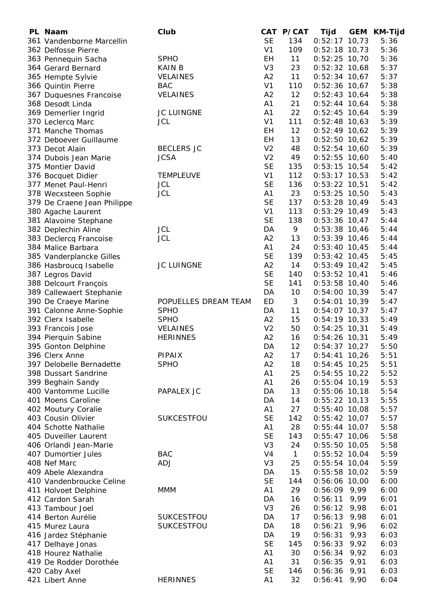| PL Naam                     | Club                 |                | CAT P/CAT    | Tijd            | GEM  | KM-Tijd |
|-----------------------------|----------------------|----------------|--------------|-----------------|------|---------|
| 361 Vandenborne Marcellin   |                      | <b>SE</b>      | 134          | $0:52:17$ 10,73 |      | 5:36    |
| 362 Delfosse Pierre         |                      | V <sub>1</sub> | 109          | $0:52:18$ 10,73 |      | 5:36    |
| 363 Pennequin Sacha         | <b>SPHO</b>          | EH             | 11           | $0:52:25$ 10,70 |      | 5:36    |
| 364 Gerard Bernard          | <b>KAIN B</b>        | V <sub>3</sub> | 23           | $0:52:32$ 10,68 |      | 5:37    |
| 365 Hempte Sylvie           | <b>VELAINES</b>      | A <sub>2</sub> | 11           | $0:52:34$ 10,67 |      | 5:37    |
| 366 Quintin Pierre          | <b>BAC</b>           | V <sub>1</sub> | 110          | $0:52:36$ 10,67 |      | 5:38    |
| 367 Duquesnes Francoise     | <b>VELAINES</b>      | A2             | 12           | $0:52:43$ 10,64 |      | 5:38    |
| 368 Desodt Linda            |                      | A1             | 21           | $0:52:44$ 10,64 |      | 5:38    |
| 369 Demerlier Ingrid        | <b>JC LUINGNE</b>    | A1             | 22           | $0:52:45$ 10,64 |      | 5:39    |
| 370 Leclercq Marc           | <b>JCL</b>           | V <sub>1</sub> | 111          | $0:52:48$ 10,63 |      | 5:39    |
| 371 Manche Thomas           |                      | EH             | 12           | $0:52:49$ 10,62 |      | 5:39    |
| 372 Deboever Guillaume      |                      | EH             | 13           | $0:52:50$ 10,62 |      | 5:39    |
| 373 Decot Alain             | <b>BECLERS JC</b>    | V <sub>2</sub> | 48           | $0:52:54$ 10,60 |      | 5:39    |
| 374 Dubois Jean Marie       | <b>JCSA</b>          | V <sub>2</sub> | 49           | $0:52:55$ 10,60 |      | 5:40    |
| 375 Montier David           |                      | <b>SE</b>      | 135          | $0:53:15$ 10,54 |      | 5:42    |
| 376 Bocquet Didier          | <b>TEMPLEUVE</b>     | V <sub>1</sub> | 112          | $0:53:17$ 10,53 |      | 5:42    |
| 377 Menet Paul-Henri        | <b>JCL</b>           | <b>SE</b>      | 136          | $0:53:22$ 10,51 |      | 5:42    |
| 378 Wecxsteen Sophie        | <b>JCL</b>           | A1             | 23           | $0:53:25$ 10,50 |      | 5:43    |
| 379 De Craene Jean Philippe |                      | <b>SE</b>      | 137          | $0:53:28$ 10,49 |      | 5:43    |
| 380 Agache Laurent          |                      | V <sub>1</sub> | 113          | $0:53:29$ 10,49 |      | 5:43    |
| 381 Alavoine Stephane       |                      | <b>SE</b>      | 138          | $0:53:36$ 10,47 |      | 5:44    |
| 382 Deplechin Aline         | <b>JCL</b>           | DA             | 9            | $0:53:38$ 10,46 |      | 5:44    |
| 383 Declercq Francoise      | <b>JCL</b>           | A2             | 13           | $0:53:39$ 10,46 |      | 5:44    |
| 384 Malice Barbara          |                      | A1             | 24           | $0:53:40$ 10,45 |      | 5:44    |
| 385 Vanderplancke Gilles    |                      | <b>SE</b>      | 139          | $0:53:42$ 10,45 |      | 5:45    |
| 386 Hasbroucq Isabelle      | <b>JC LUINGNE</b>    | A2             | 14           | $0:53:49$ 10,42 |      | 5:45    |
| 387 Legros David            |                      | <b>SE</b>      | 140          | $0:53:52$ 10,41 |      | 5:46    |
| 388 Delcourt François       |                      | <b>SE</b>      | 141          | $0:53:58$ 10,40 |      | 5:46    |
| 389 Callewaert Stephanie    |                      | DA             | 10           | $0:54:00$ 10,39 |      | 5:47    |
| 390 De Craeye Marine        | POPUELLES DREAM TEAM | ED             | 3            | $0:54:01$ 10,39 |      | 5:47    |
| 391 Calonne Anne-Sophie     | <b>SPHO</b>          | DA             | 11           | $0:54:07$ 10,37 |      | 5:47    |
| 392 Clerx Isabelle          | <b>SPHO</b>          | A2             | 15           | $0:54:19$ 10,33 |      | 5:49    |
| 393 Francois Jose           | <b>VELAINES</b>      | V <sub>2</sub> | 50           | $0:54:25$ 10,31 |      | 5:49    |
| 394 Pierquin Sabine         | <b>HERINNES</b>      | A2             | 16           | $0:54:26$ 10,31 |      | 5:49    |
| 395 Gonton Delphine         |                      | DA             | 12           | $0:54:37$ 10,27 |      | 5:50    |
| 396 Clerx Anne              | PIPAIX               | A2             | 17           | $0:54:41$ 10,26 |      | 5:51    |
| 397 Delobelle Bernadette    | <b>SPHO</b>          | A2             | 18           | $0:54:45$ 10,25 |      | 5:51    |
| 398 Dussart Sandrine        |                      | A1             | 25           | $0:54:55$ 10,22 |      | 5:52    |
| 399 Beghain Sandy           |                      | A1             | 26           | $0:55:04$ 10,19 |      | 5:53    |
| 400 Vantomme Lucille        | PAPALEX JC           | DA             | 13           | $0:55:06$ 10,18 |      | 5:54    |
| 401 Moens Caroline          |                      | DA             | 14           | $0:55:22$ 10,13 |      | 5:55    |
| 402 Moutury Coralie         |                      | A1             | 27           | $0:55:40$ 10,08 |      | 5:57    |
| 403 Cousin Olivier          | <b>SUKCESTFOU</b>    | <b>SE</b>      | 142          | $0:55:42$ 10,07 |      | 5:57    |
| 404 Schotte Nathalie        |                      | A1             | 28           | $0:55:44$ 10,07 |      | 5:58    |
| 405 Duveiller Laurent       |                      | <b>SE</b>      | 143          | $0:55:47$ 10,06 |      | 5:58    |
| 406 Orlandi Jean-Marie      |                      | V <sub>3</sub> | 24           | $0:55:50$ 10,05 |      | 5:58    |
| 407 Dumortier Jules         | <b>BAC</b>           | V <sub>4</sub> | $\mathbf{1}$ | $0:55:52$ 10,04 |      | 5:59    |
| 408 Nef Marc                | <b>ADJ</b>           | V <sub>3</sub> | 25           | $0:55:54$ 10,04 |      | 5:59    |
| 409 Abele Alexandra         |                      | DA             | 15           | $0:55:58$ 10,02 |      | 5:59    |
| 410 Vandenbroucke Celine    |                      | <b>SE</b>      | 144          | $0:56:06$ 10,00 |      | 6:00    |
| 411 Holvoet Delphine        | <b>MMM</b>           | A1             | 29           | $0:56:09$ 9,99  |      | 6:00    |
| 412 Cardon Sarah            |                      | DA             | 16           | 0:56:11         | 9,99 | 6:01    |
| 413 Tambour Joel            |                      | V <sub>3</sub> | 26           | 0:56:12         | 9,98 | 6:01    |
| 414 Berton Aurélie          | <b>SUKCESTFOU</b>    | DA             | 17           | 0:56:13         | 9,98 | 6:01    |
| 415 Murez Laura             | <b>SUKCESTFOU</b>    | DA             | 18           | 0:56:21         | 9,96 | 6:02    |
| 416 Jardez Stéphanie        |                      | DA             | 19           | 0:56:31         | 9,93 | 6:03    |
| 417 Delhaye Jonas           |                      | <b>SE</b>      | 145          | 0:56:33         | 9,92 | 6:03    |
| 418 Hourez Nathalie         |                      | A1             | 30           | 0:56:34         | 9,92 | 6:03    |
| 419 De Rodder Dorothée      |                      | A1             | 31           | $0:56:35$ 9,91  |      | 6:03    |
| 420 Caby Axel               |                      | <b>SE</b>      | 146          | $0:56:36$ 9,91  |      | 6:03    |
| 421 Libert Anne             | <b>HERINNES</b>      | A1             | 32           | $0:56:41$ 9,90  |      | 6:04    |